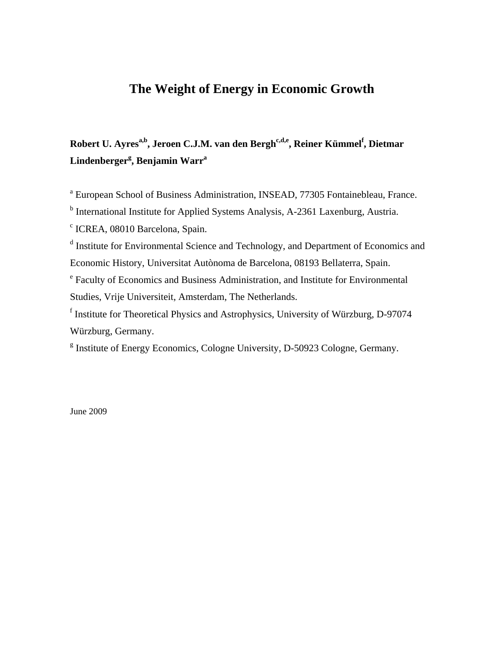## **The Weight of Energy in Economic Growth**

# Robert U. Ayres<sup>a,b</sup>, Jeroen C.J.M. van den Bergh<sup>c,d,e</sup>, Reiner Kümmel<sup>f</sup>, Dietmar **Lindenbergerg , Benjamin Warr<sup>a</sup>**

<sup>a</sup> European School of Business Administration, INSEAD, 77305 Fontainebleau, France.

<sup>b</sup> International Institute for Applied Systems Analysis, A-2361 Laxenburg, Austria.

c ICREA, 08010 Barcelona, Spain.

<sup>d</sup> Institute for Environmental Science and Technology, and Department of Economics and Economic History, Universitat Autònoma de Barcelona, 08193 Bellaterra, Spain.

e Faculty of Economics and Business Administration, and Institute for Environmental Studies, Vrije Universiteit, Amsterdam, The Netherlands.

f Institute for Theoretical Physics and Astrophysics, University of Würzburg, D-97074 Würzburg, Germany.

<sup>g</sup> Institute of Energy Economics, Cologne University, D-50923 Cologne, Germany.

June 2009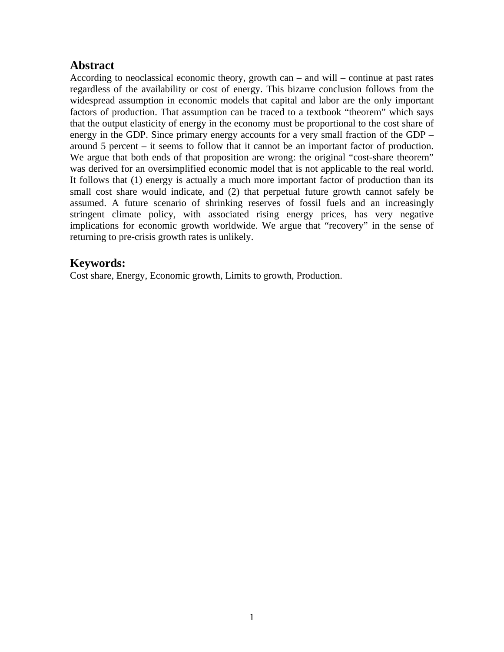### **Abstract**

According to neoclassical economic theory, growth can – and will – continue at past rates regardless of the availability or cost of energy. This bizarre conclusion follows from the widespread assumption in economic models that capital and labor are the only important factors of production. That assumption can be traced to a textbook "theorem" which says that the output elasticity of energy in the economy must be proportional to the cost share of energy in the GDP. Since primary energy accounts for a very small fraction of the GDP – around 5 percent – it seems to follow that it cannot be an important factor of production. We argue that both ends of that proposition are wrong: the original "cost-share theorem" was derived for an oversimplified economic model that is not applicable to the real world. It follows that (1) energy is actually a much more important factor of production than its small cost share would indicate, and (2) that perpetual future growth cannot safely be assumed. A future scenario of shrinking reserves of fossil fuels and an increasingly stringent climate policy, with associated rising energy prices, has very negative implications for economic growth worldwide. We argue that "recovery" in the sense of returning to pre-crisis growth rates is unlikely.

### **Keywords:**

Cost share, Energy, Economic growth, Limits to growth, Production.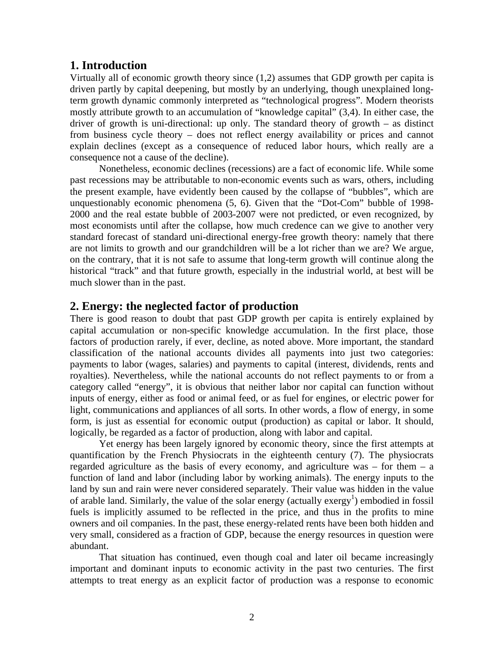#### **1. Introduction**

Virtually all of economic growth theory since (1,2) assumes that GDP growth per capita is driven partly by capital deepening, but mostly by an underlying, though unexplained longterm growth dynamic commonly interpreted as "technological progress". Modern theorists mostly attribute growth to an accumulation of "knowledge capital" (3,4). In either case, the driver of growth is uni-directional: up only. The standard theory of growth – as distinct from business cycle theory – does not reflect energy availability or prices and cannot explain declines (except as a consequence of reduced labor hours, which really are a consequence not a cause of the decline).

Nonetheless, economic declines (recessions) are a fact of economic life. While some past recessions may be attributable to non-economic events such as wars, others, including the present example, have evidently been caused by the collapse of "bubbles", which are unquestionably economic phenomena (5, 6). Given that the "Dot-Com" bubble of 1998- 2000 and the real estate bubble of 2003-2007 were not predicted, or even recognized, by most economists until after the collapse, how much credence can we give to another very standard forecast of standard uni-directional energy-free growth theory: namely that there are not limits to growth and our grandchildren will be a lot richer than we are? We argue, on the contrary, that it is not safe to assume that long-term growth will continue along the historical "track" and that future growth, especially in the industrial world, at best will be much slower than in the past.

#### **2. Energy: the neglected factor of production**

There is good reason to doubt that past GDP growth per capita is entirely explained by capital accumulation or non-specific knowledge accumulation. In the first place, those factors of production rarely, if ever, decline, as noted above. More important, the standard classification of the national accounts divides all payments into just two categories: payments to labor (wages, salaries) and payments to capital (interest, dividends, rents and royalties). Nevertheless, while the national accounts do not reflect payments to or from a category called "energy", it is obvious that neither labor nor capital can function without inputs of energy, either as food or animal feed, or as fuel for engines, or electric power for light, communications and appliances of all sorts. In other words, a flow of energy, in some form, is just as essential for economic output (production) as capital or labor. It should, logically, be regarded as a factor of production, along with labor and capital.

Yet energy has been largely ignored by economic theory, since the first attempts at quantification by the French Physiocrats in the eighteenth century (7). The physiocrats regarded agriculture as the basis of every economy, and agriculture was – for them  $-$  a function of land and labor (including labor by working animals). The energy inputs to the land by sun and rain were never considered separately. Their value was hidden in the value of arable land. Similarly, the value of the solar energy (actually exergy<sup>1</sup>) embodied in fossil fuels is implicitly assumed to be reflected in the price, and thus in the profits to mine owners and oil companies. In the past, these energy-related rents have been both hidden and very small, considered as a fraction of GDP, because the energy resources in question were abundant.

That situation has continued, even though coal and later oil became increasingly important and dominant inputs to economic activity in the past two centuries. The first attempts to treat energy as an explicit factor of production was a response to economic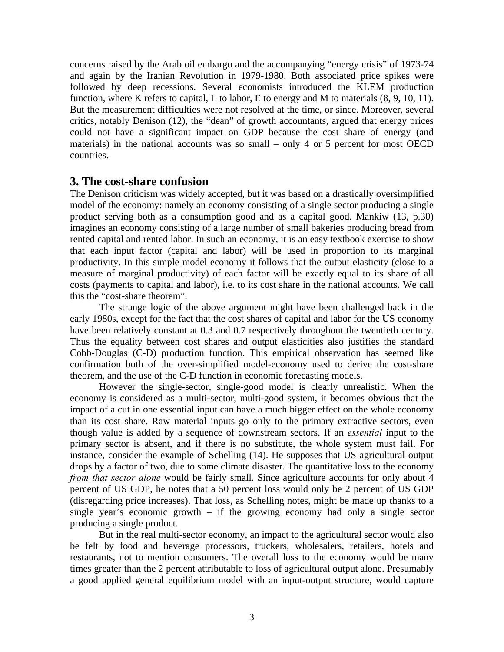concerns raised by the Arab oil embargo and the accompanying "energy crisis" of 1973-74 and again by the Iranian Revolution in 1979-1980. Both associated price spikes were followed by deep recessions. Several economists introduced the KLEM production function, where K refers to capital, L to labor, E to energy and M to materials (8, 9, 10, 11). But the measurement difficulties were not resolved at the time, or since. Moreover, several critics, notably Denison (12), the "dean" of growth accountants, argued that energy prices could not have a significant impact on GDP because the cost share of energy (and materials) in the national accounts was so small – only 4 or 5 percent for most OECD countries.

#### **3. The cost-share confusion**

The Denison criticism was widely accepted, but it was based on a drastically oversimplified model of the economy: namely an economy consisting of a single sector producing a single product serving both as a consumption good and as a capital good. Mankiw (13, p.30) imagines an economy consisting of a large number of small bakeries producing bread from rented capital and rented labor. In such an economy, it is an easy textbook exercise to show that each input factor (capital and labor) will be used in proportion to its marginal productivity. In this simple model economy it follows that the output elasticity (close to a measure of marginal productivity) of each factor will be exactly equal to its share of all costs (payments to capital and labor), i.e. to its cost share in the national accounts. We call this the "cost-share theorem".

The strange logic of the above argument might have been challenged back in the early 1980s, except for the fact that the cost shares of capital and labor for the US economy have been relatively constant at 0.3 and 0.7 respectively throughout the twentieth century. Thus the equality between cost shares and output elasticities also justifies the standard Cobb-Douglas (C-D) production function. This empirical observation has seemed like confirmation both of the over-simplified model-economy used to derive the cost-share theorem, and the use of the C-D function in economic forecasting models.

However the single-sector, single-good model is clearly unrealistic. When the economy is considered as a multi-sector, multi-good system, it becomes obvious that the impact of a cut in one essential input can have a much bigger effect on the whole economy than its cost share. Raw material inputs go only to the primary extractive sectors, even though value is added by a sequence of downstream sectors. If an *essential* input to the primary sector is absent, and if there is no substitute, the whole system must fail. For instance, consider the example of Schelling (14). He supposes that US agricultural output drops by a factor of two, due to some climate disaster. The quantitative loss to the economy *from that sector alone* would be fairly small. Since agriculture accounts for only about 4 percent of US GDP, he notes that a 50 percent loss would only be 2 percent of US GDP (disregarding price increases). That loss, as Schelling notes, might be made up thanks to a single year's economic growth – if the growing economy had only a single sector producing a single product.

But in the real multi-sector economy, an impact to the agricultural sector would also be felt by food and beverage processors, truckers, wholesalers, retailers, hotels and restaurants, not to mention consumers. The overall loss to the economy would be many times greater than the 2 percent attributable to loss of agricultural output alone. Presumably a good applied general equilibrium model with an input-output structure, would capture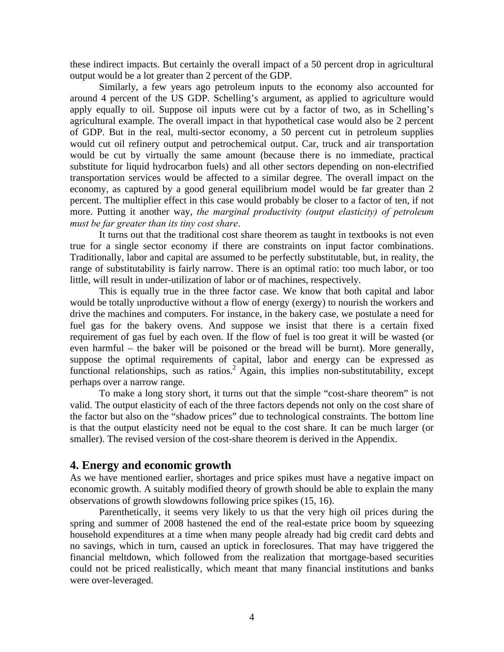these indirect impacts. But certainly the overall impact of a 50 percent drop in agricultural output would be a lot greater than 2 percent of the GDP.

Similarly, a few years ago petroleum inputs to the economy also accounted for around 4 percent of the US GDP. Schelling's argument, as applied to agriculture would apply equally to oil. Suppose oil inputs were cut by a factor of two, as in Schelling's agricultural example. The overall impact in that hypothetical case would also be 2 percent of GDP. But in the real, multi-sector economy, a 50 percent cut in petroleum supplies would cut oil refinery output and petrochemical output. Car, truck and air transportation would be cut by virtually the same amount (because there is no immediate, practical substitute for liquid hydrocarbon fuels) and all other sectors depending on non-electrified transportation services would be affected to a similar degree. The overall impact on the economy, as captured by a good general equilibrium model would be far greater than 2 percent. The multiplier effect in this case would probably be closer to a factor of ten, if not more. Putting it another way, *the marginal productivity (output elasticity) of petroleum must be far greater than its tiny cost share*.

It turns out that the traditional cost share theorem as taught in textbooks is not even true for a single sector economy if there are constraints on input factor combinations. Traditionally, labor and capital are assumed to be perfectly substitutable, but, in reality, the range of substitutability is fairly narrow. There is an optimal ratio: too much labor, or too little, will result in under-utilization of labor or of machines, respectively.

This is equally true in the three factor case. We know that both capital and labor would be totally unproductive without a flow of energy (exergy) to nourish the workers and drive the machines and computers. For instance, in the bakery case, we postulate a need for fuel gas for the bakery ovens. And suppose we insist that there is a certain fixed requirement of gas fuel by each oven. If the flow of fuel is too great it will be wasted (or even harmful – the baker will be poisoned or the bread will be burnt). More generally, suppose the optimal requirements of capital, labor and energy can be expressed as functional relationships, such as ratios.<sup>2</sup> Again, this implies non-substitutability, except perhaps over a narrow range.

To make a long story short, it turns out that the simple "cost-share theorem" is not valid. The output elasticity of each of the three factors depends not only on the cost share of the factor but also on the "shadow prices" due to technological constraints. The bottom line is that the output elasticity need not be equal to the cost share. It can be much larger (or smaller). The revised version of the cost-share theorem is derived in the Appendix.

### **4. Energy and economic growth**

As we have mentioned earlier, shortages and price spikes must have a negative impact on economic growth. A suitably modified theory of growth should be able to explain the many observations of growth slowdowns following price spikes (15, 16).

Parenthetically, it seems very likely to us that the very high oil prices during the spring and summer of 2008 hastened the end of the real-estate price boom by squeezing household expenditures at a time when many people already had big credit card debts and no savings, which in turn, caused an uptick in foreclosures. That may have triggered the financial meltdown, which followed from the realization that mortgage-based securities could not be priced realistically, which meant that many financial institutions and banks were over-leveraged.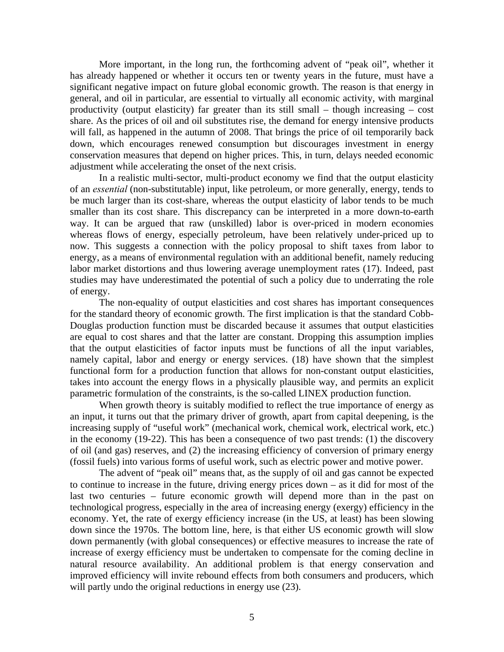More important, in the long run, the forthcoming advent of "peak oil", whether it has already happened or whether it occurs ten or twenty years in the future, must have a significant negative impact on future global economic growth. The reason is that energy in general, and oil in particular, are essential to virtually all economic activity, with marginal productivity (output elasticity) far greater than its still small – though increasing – cost share. As the prices of oil and oil substitutes rise, the demand for energy intensive products will fall, as happened in the autumn of 2008. That brings the price of oil temporarily back down, which encourages renewed consumption but discourages investment in energy conservation measures that depend on higher prices. This, in turn, delays needed economic adjustment while accelerating the onset of the next crisis.

In a realistic multi-sector, multi-product economy we find that the output elasticity of an *essential* (non-substitutable) input, like petroleum, or more generally, energy, tends to be much larger than its cost-share, whereas the output elasticity of labor tends to be much smaller than its cost share. This discrepancy can be interpreted in a more down-to-earth way. It can be argued that raw (unskilled) labor is over-priced in modern economies whereas flows of energy, especially petroleum, have been relatively under-priced up to now. This suggests a connection with the policy proposal to shift taxes from labor to energy, as a means of environmental regulation with an additional benefit, namely reducing labor market distortions and thus lowering average unemployment rates (17). Indeed, past studies may have underestimated the potential of such a policy due to underrating the role of energy.

The non-equality of output elasticities and cost shares has important consequences for the standard theory of economic growth. The first implication is that the standard Cobb-Douglas production function must be discarded because it assumes that output elasticities are equal to cost shares and that the latter are constant. Dropping this assumption implies that the output elasticities of factor inputs must be functions of all the input variables, namely capital, labor and energy or energy services. (18) have shown that the simplest functional form for a production function that allows for non-constant output elasticities, takes into account the energy flows in a physically plausible way, and permits an explicit parametric formulation of the constraints, is the so-called LINEX production function.

 When growth theory is suitably modified to reflect the true importance of energy as an input, it turns out that the primary driver of growth, apart from capital deepening, is the increasing supply of "useful work" (mechanical work, chemical work, electrical work, etc.) in the economy (19-22). This has been a consequence of two past trends: (1) the discovery of oil (and gas) reserves, and (2) the increasing efficiency of conversion of primary energy (fossil fuels) into various forms of useful work, such as electric power and motive power.

The advent of "peak oil" means that, as the supply of oil and gas cannot be expected to continue to increase in the future, driving energy prices down – as it did for most of the last two centuries – future economic growth will depend more than in the past on technological progress, especially in the area of increasing energy (exergy) efficiency in the economy. Yet, the rate of exergy efficiency increase (in the US, at least) has been slowing down since the 1970s. The bottom line, here, is that either US economic growth will slow down permanently (with global consequences) or effective measures to increase the rate of increase of exergy efficiency must be undertaken to compensate for the coming decline in natural resource availability. An additional problem is that energy conservation and improved efficiency will invite rebound effects from both consumers and producers, which will partly undo the original reductions in energy use  $(23)$ .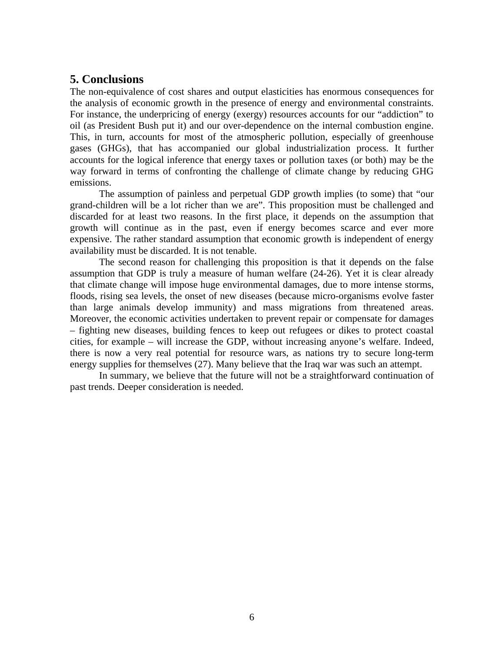### **5. Conclusions**

The non-equivalence of cost shares and output elasticities has enormous consequences for the analysis of economic growth in the presence of energy and environmental constraints. For instance, the underpricing of energy (exergy) resources accounts for our "addiction" to oil (as President Bush put it) and our over-dependence on the internal combustion engine. This, in turn, accounts for most of the atmospheric pollution, especially of greenhouse gases (GHGs), that has accompanied our global industrialization process. It further accounts for the logical inference that energy taxes or pollution taxes (or both) may be the way forward in terms of confronting the challenge of climate change by reducing GHG emissions.

The assumption of painless and perpetual GDP growth implies (to some) that "our grand-children will be a lot richer than we are". This proposition must be challenged and discarded for at least two reasons. In the first place, it depends on the assumption that growth will continue as in the past, even if energy becomes scarce and ever more expensive. The rather standard assumption that economic growth is independent of energy availability must be discarded. It is not tenable.

The second reason for challenging this proposition is that it depends on the false assumption that GDP is truly a measure of human welfare (24-26). Yet it is clear already that climate change will impose huge environmental damages, due to more intense storms, floods, rising sea levels, the onset of new diseases (because micro-organisms evolve faster than large animals develop immunity) and mass migrations from threatened areas. Moreover, the economic activities undertaken to prevent repair or compensate for damages – fighting new diseases, building fences to keep out refugees or dikes to protect coastal cities, for example – will increase the GDP, without increasing anyone's welfare. Indeed, there is now a very real potential for resource wars, as nations try to secure long-term energy supplies for themselves (27). Many believe that the Iraq war was such an attempt.

In summary, we believe that the future will not be a straightforward continuation of past trends. Deeper consideration is needed.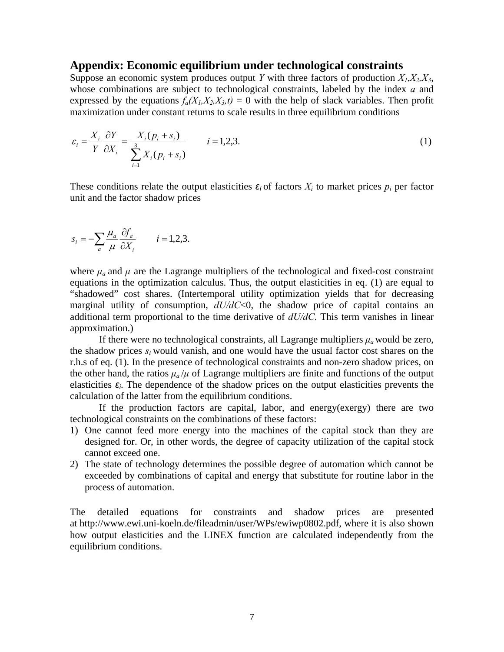#### **Appendix: Economic equilibrium under technological constraints**

Suppose an economic system produces output *Y* with three factors of production  $X_1, X_2, X_3$ , whose combinations are subject to technological constraints, labeled by the index *a* and expressed by the equations  $f_a(X_1, X_2, X_3, t) = 0$  with the help of slack variables. Then profit maximization under constant returns to scale results in three equilibrium conditions

$$
\varepsilon_i = \frac{X_i}{Y} \frac{\partial Y}{\partial X_i} = \frac{X_i (p_i + s_i)}{\sum_{i=1}^3 X_i (p_i + s_i)} \qquad i = 1, 2, 3.
$$
\n
$$
(1)
$$

These conditions relate the output elasticities  $\epsilon_i$  of factors  $X_i$  to market prices  $p_i$  per factor unit and the factor shadow prices

$$
s_i = -\sum_a \frac{\mu_a}{\mu} \frac{\partial f_a}{\partial X_i} \qquad i = 1, 2, 3.
$$

where  $\mu_a$  and  $\mu$  are the Lagrange multipliers of the technological and fixed-cost constraint equations in the optimization calculus. Thus, the output elasticities in eq. (1) are equal to "shadowed" cost shares. (Intertemporal utility optimization yields that for decreasing marginal utility of consumption, *dU/dC*<0, the shadow price of capital contains an additional term proportional to the time derivative of *dU/dC*. This term vanishes in linear approximation.)

If there were no technological constraints, all Lagrange multipliers  $\mu_a$  would be zero, the shadow prices  $s_i$  would vanish, and one would have the usual factor cost shares on the r.h.s of eq. (1). In the presence of technological constraints and non-zero shadow prices, on the other hand, the ratios  $\mu_a/\mu$  of Lagrange multipliers are finite and functions of the output elasticities  $\varepsilon$ *i*. The dependence of the shadow prices on the output elasticities prevents the calculation of the latter from the equilibrium conditions.

If the production factors are capital, labor, and energy(exergy) there are two technological constraints on the combinations of these factors:

- 1) One cannot feed more energy into the machines of the capital stock than they are designed for. Or, in other words, the degree of capacity utilization of the capital stock cannot exceed one.
- 2) The state of technology determines the possible degree of automation which cannot be exceeded by combinations of capital and energy that substitute for routine labor in the process of automation.

The detailed equations for constraints and shadow prices are presented at http://www.ewi.uni-koeln.de/fileadmin/user/WPs/ewiwp0802.pdf, where it is also shown how output elasticities and the LINEX function are calculated independently from the equilibrium conditions.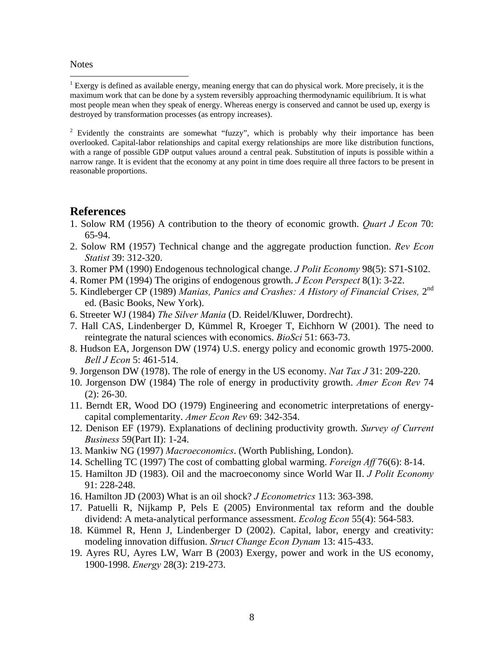#### **Notes**

1

<sup>1</sup> Exergy is defined as available energy, meaning energy that can do physical work. More precisely, it is the maximum work that can be done by a system reversibly approaching thermodynamic equilibrium. It is what most people mean when they speak of energy. Whereas energy is conserved and cannot be used up, exergy is destroyed by transformation processes (as entropy increases).

<sup>2</sup> Evidently the constraints are somewhat "fuzzy", which is probably why their importance has been overlooked. Capital-labor relationships and capital exergy relationships are more like distribution functions, with a range of possible GDP output values around a central peak. Substitution of inputs is possible within a narrow range. It is evident that the economy at any point in time does require all three factors to be present in reasonable proportions.

#### **References**

- 1. Solow RM (1956) A contribution to the theory of economic growth. *Quart J Econ* 70: 65-94.
- 2. Solow RM (1957) Technical change and the aggregate production function. *Rev Econ Statist* 39: 312-320.
- 3. Romer PM (1990) Endogenous technological change. *J Polit Economy* 98(5): S71-S102.
- 4. Romer PM (1994) The origins of endogenous growth. *J Econ Perspect* 8(1): 3-22.
- 5. Kindleberger CP (1989) *Manias, Panics and Crashes: A History of Financial Crises,* 2nd ed. (Basic Books, New York).
- 6. Streeter WJ (1984) *The Silver Mania* (D. Reidel/Kluwer, Dordrecht).
- 7. Hall CAS, Lindenberger D, Kümmel R, Kroeger T, Eichhorn W (2001). The need to reintegrate the natural sciences with economics. *BioSci* 51: 663-73.
- 8. Hudson EA, Jorgenson DW (1974) U.S. energy policy and economic growth 1975-2000. *Bell J Econ* 5: 461-514.
- 9. Jorgenson DW (1978). The role of energy in the US economy. *Nat Tax J* 31: 209-220.
- 10. Jorgenson DW (1984) The role of energy in productivity growth. *Amer Econ Rev* 74 (2): 26-30.
- 11. Berndt ER, Wood DO (1979) Engineering and econometric interpretations of energycapital complementarity. *Amer Econ Rev* 69: 342-354.
- 12. Denison EF (1979). Explanations of declining productivity growth. *Survey of Current Business* 59(Part II): 1-24.
- 13. Mankiw NG (1997) *Macroeconomics*. (Worth Publishing, London).
- 14. Schelling TC (1997) The cost of combatting global warming. *Foreign Aff* 76(6): 8-14.
- 15. Hamilton JD (1983). Oil and the macroeconomy since World War II. *J Polit Economy*  91: 228-248.
- 16. Hamilton JD (2003) What is an oil shock? *J Econometrics* 113: 363-398.
- 17. Patuelli R, Nijkamp P, Pels E (2005) Environmental tax reform and the double dividend: A meta-analytical performance assessment. *Ecolog Econ* 55(4): 564-583.
- 18. Kümmel R, Henn J, Lindenberger D (2002). Capital, labor, energy and creativity: modeling innovation diffusion. *Struct Change Econ Dynam* 13: 415-433.
- 19. Ayres RU, Ayres LW, Warr B (2003) Exergy, power and work in the US economy, 1900-1998. *Energy* 28(3): 219-273.